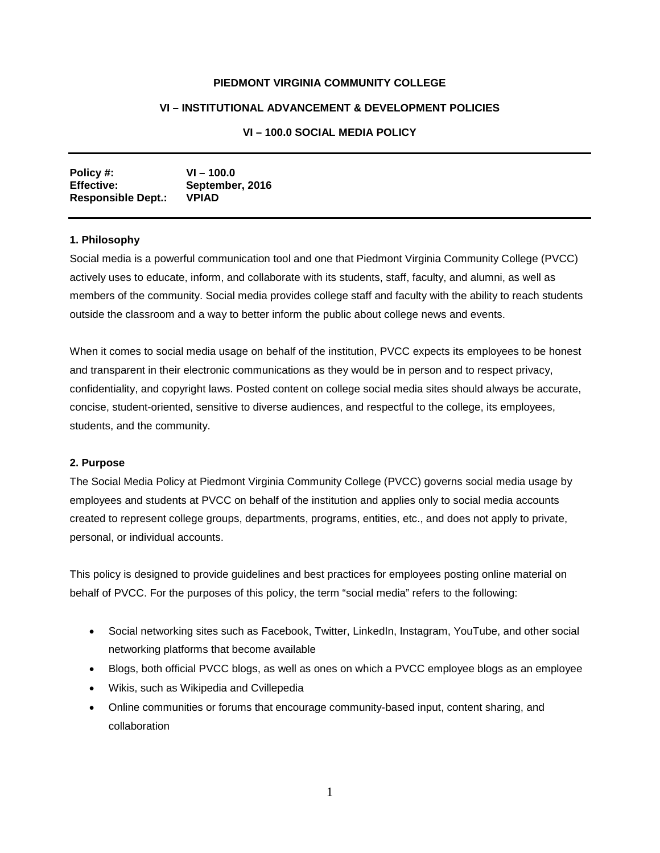### **PIEDMONT VIRGINIA COMMUNITY COLLEGE**

## **VI – INSTITUTIONAL ADVANCEMENT & DEVELOPMENT POLICIES**

# **VI – 100.0 SOCIAL MEDIA POLICY**

| Policy #:                 | $VI - 100.0$    |
|---------------------------|-----------------|
| <b>Effective:</b>         | September, 2016 |
| <b>Responsible Dept.:</b> | <b>VPIAD</b>    |

#### **1. Philosophy**

Social media is a powerful communication tool and one that Piedmont Virginia Community College (PVCC) actively uses to educate, inform, and collaborate with its students, staff, faculty, and alumni, as well as members of the community. Social media provides college staff and faculty with the ability to reach students outside the classroom and a way to better inform the public about college news and events.

When it comes to social media usage on behalf of the institution, PVCC expects its employees to be honest and transparent in their electronic communications as they would be in person and to respect privacy, confidentiality, and copyright laws. Posted content on college social media sites should always be accurate, concise, student-oriented, sensitive to diverse audiences, and respectful to the college, its employees, students, and the community.

#### **2. Purpose**

The Social Media Policy at Piedmont Virginia Community College (PVCC) governs social media usage by employees and students at PVCC on behalf of the institution and applies only to social media accounts created to represent college groups, departments, programs, entities, etc., and does not apply to private, personal, or individual accounts.

This policy is designed to provide guidelines and best practices for employees posting online material on behalf of PVCC. For the purposes of this policy, the term "social media" refers to the following:

- Social networking sites such as Facebook, Twitter, LinkedIn, Instagram, YouTube, and other social networking platforms that become available
- Blogs, both official PVCC blogs, as well as ones on which a PVCC employee blogs as an employee
- Wikis, such as Wikipedia and Cvillepedia
- Online communities or forums that encourage community-based input, content sharing, and collaboration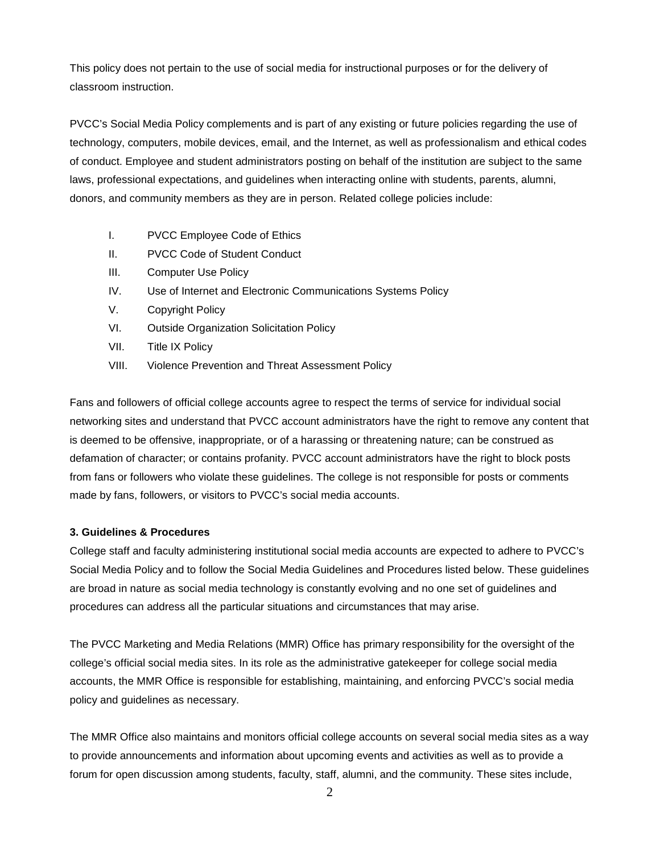This policy does not pertain to the use of social media for instructional purposes or for the delivery of classroom instruction.

PVCC's Social Media Policy complements and is part of any existing or future policies regarding the use of technology, computers, mobile devices, email, and the Internet, as well as professionalism and ethical codes of conduct. Employee and student administrators posting on behalf of the institution are subject to the same laws, professional expectations, and guidelines when interacting online with students, parents, alumni, donors, and community members as they are in person. Related college policies include:

- I. PVCC Employee Code of Ethics
- II. PVCC Code of Student Conduct
- III. Computer Use Policy
- IV. Use of Internet and Electronic Communications Systems Policy
- V. Copyright Policy
- VI. Outside Organization Solicitation Policy
- VII. Title IX Policy
- VIII. Violence Prevention and Threat Assessment Policy

Fans and followers of official college accounts agree to respect the terms of service for individual social networking sites and understand that PVCC account administrators have the right to remove any content that is deemed to be offensive, inappropriate, or of a harassing or threatening nature; can be construed as defamation of character; or contains profanity. PVCC account administrators have the right to block posts from fans or followers who violate these guidelines. The college is not responsible for posts or comments made by fans, followers, or visitors to PVCC's social media accounts.

# **3. Guidelines & Procedures**

College staff and faculty administering institutional social media accounts are expected to adhere to PVCC's Social Media Policy and to follow the Social Media Guidelines and Procedures listed below. These guidelines are broad in nature as social media technology is constantly evolving and no one set of guidelines and procedures can address all the particular situations and circumstances that may arise.

The PVCC Marketing and Media Relations (MMR) Office has primary responsibility for the oversight of the college's official social media sites. In its role as the administrative gatekeeper for college social media accounts, the MMR Office is responsible for establishing, maintaining, and enforcing PVCC's social media policy and guidelines as necessary.

The MMR Office also maintains and monitors official college accounts on several social media sites as a way to provide announcements and information about upcoming events and activities as well as to provide a forum for open discussion among students, faculty, staff, alumni, and the community. These sites include,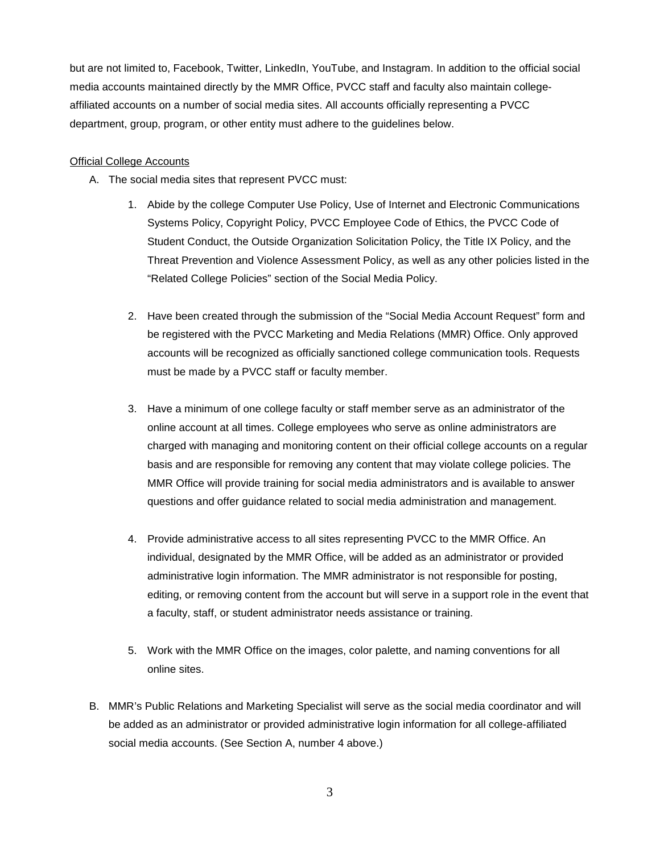but are not limited to, Facebook, Twitter, LinkedIn, YouTube, and Instagram. In addition to the official social media accounts maintained directly by the MMR Office, PVCC staff and faculty also maintain collegeaffiliated accounts on a number of social media sites. All accounts officially representing a PVCC department, group, program, or other entity must adhere to the guidelines below.

#### Official College Accounts

- A. The social media sites that represent PVCC must:
	- 1. Abide by the college Computer Use Policy, Use of Internet and Electronic Communications Systems Policy, Copyright Policy, PVCC Employee Code of Ethics, the PVCC Code of Student Conduct, the Outside Organization Solicitation Policy, the Title IX Policy, and the Threat Prevention and Violence Assessment Policy, as well as any other policies listed in the "Related College Policies" section of the Social Media Policy.
	- 2. Have been created through the submission of the "Social Media Account Request" form and be registered with the PVCC Marketing and Media Relations (MMR) Office. Only approved accounts will be recognized as officially sanctioned college communication tools. Requests must be made by a PVCC staff or faculty member.
	- 3. Have a minimum of one college faculty or staff member serve as an administrator of the online account at all times. College employees who serve as online administrators are charged with managing and monitoring content on their official college accounts on a regular basis and are responsible for removing any content that may violate college policies. The MMR Office will provide training for social media administrators and is available to answer questions and offer guidance related to social media administration and management.
	- 4. Provide administrative access to all sites representing PVCC to the MMR Office. An individual, designated by the MMR Office, will be added as an administrator or provided administrative login information. The MMR administrator is not responsible for posting, editing, or removing content from the account but will serve in a support role in the event that a faculty, staff, or student administrator needs assistance or training.
	- 5. Work with the MMR Office on the images, color palette, and naming conventions for all online sites.
- B. MMR's Public Relations and Marketing Specialist will serve as the social media coordinator and will be added as an administrator or provided administrative login information for all college-affiliated social media accounts. (See Section A, number 4 above.)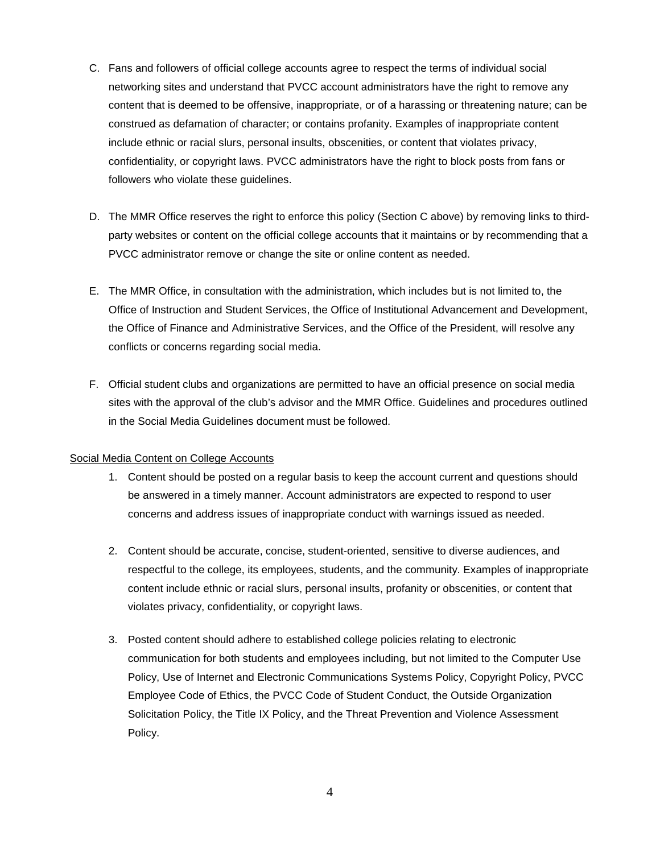- C. Fans and followers of official college accounts agree to respect the terms of individual social networking sites and understand that PVCC account administrators have the right to remove any content that is deemed to be offensive, inappropriate, or of a harassing or threatening nature; can be construed as defamation of character; or contains profanity. Examples of inappropriate content include ethnic or racial slurs, personal insults, obscenities, or content that violates privacy, confidentiality, or copyright laws. PVCC administrators have the right to block posts from fans or followers who violate these guidelines.
- D. The MMR Office reserves the right to enforce this policy (Section C above) by removing links to thirdparty websites or content on the official college accounts that it maintains or by recommending that a PVCC administrator remove or change the site or online content as needed.
- E. The MMR Office, in consultation with the administration, which includes but is not limited to, the Office of Instruction and Student Services, the Office of Institutional Advancement and Development, the Office of Finance and Administrative Services, and the Office of the President, will resolve any conflicts or concerns regarding social media.
- F. Official student clubs and organizations are permitted to have an official presence on social media sites with the approval of the club's advisor and the MMR Office. Guidelines and procedures outlined in the Social Media Guidelines document must be followed.

### Social Media Content on College Accounts

- 1. Content should be posted on a regular basis to keep the account current and questions should be answered in a timely manner. Account administrators are expected to respond to user concerns and address issues of inappropriate conduct with warnings issued as needed.
- 2. Content should be accurate, concise, student-oriented, sensitive to diverse audiences, and respectful to the college, its employees, students, and the community. Examples of inappropriate content include ethnic or racial slurs, personal insults, profanity or obscenities, or content that violates privacy, confidentiality, or copyright laws.
- 3. Posted content should adhere to established college policies relating to electronic communication for both students and employees including, but not limited to the Computer Use Policy, Use of Internet and Electronic Communications Systems Policy, Copyright Policy, PVCC Employee Code of Ethics, the PVCC Code of Student Conduct, the Outside Organization Solicitation Policy, the Title IX Policy, and the Threat Prevention and Violence Assessment Policy.